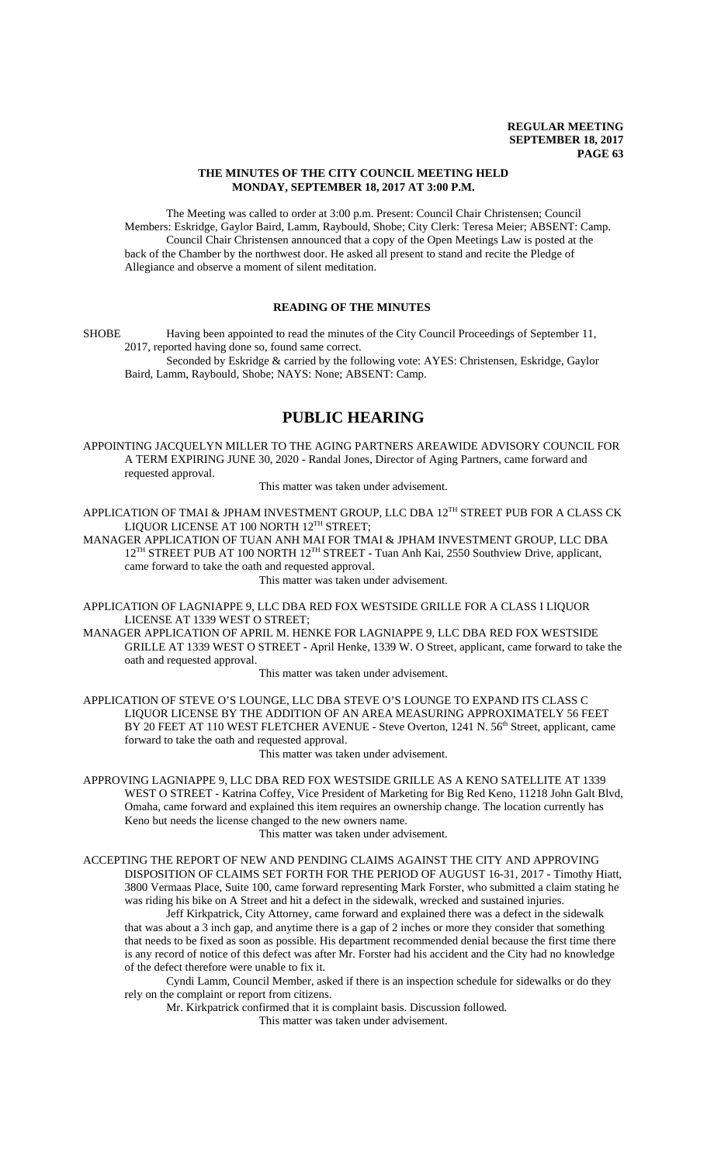#### **THE MINUTES OF THE CITY COUNCIL MEETING HELD MONDAY, SEPTEMBER 18, 2017 AT 3:00 P.M.**

The Meeting was called to order at 3:00 p.m. Present: Council Chair Christensen; Council Members: Eskridge, Gaylor Baird, Lamm, Raybould, Shobe; City Clerk: Teresa Meier; ABSENT: Camp. Council Chair Christensen announced that a copy of the Open Meetings Law is posted at the back of the Chamber by the northwest door. He asked all present to stand and recite the Pledge of Allegiance and observe a moment of silent meditation.

### **READING OF THE MINUTES**

SHOBE Having been appointed to read the minutes of the City Council Proceedings of September 11, 2017, reported having done so, found same correct. Seconded by Eskridge & carried by the following vote: AYES: Christensen, Eskridge, Gaylor

Baird, Lamm, Raybould, Shobe; NAYS: None; ABSENT: Camp.

# **PUBLIC HEARING**

APPOINTING JACQUELYN MILLER TO THE AGING PARTNERS AREAWIDE ADVISORY COUNCIL FOR A TERM EXPIRING JUNE 30, 2020 - Randal Jones, Director of Aging Partners, came forward and requested approval.

This matter was taken under advisement.

APPLICATION OF TMAI & JPHAM INVESTMENT GROUP, LLC DBA 12<sup>TH</sup> STREET PUB FOR A CLASS CK LIQUOR LICENSE AT 100 NORTH 12<sup>TH</sup> STREET;

MANAGER APPLICATION OF TUAN ANH MAI FOR TMAI & JPHAM INVESTMENT GROUP, LLC DBA 12<sup>TH</sup> STREET PUB AT 100 NORTH 12<sup>TH</sup> STREET - Tuan Anh Kai, 2550 Southview Drive, applicant, came forward to take the oath and requested approval.

This matter was taken under advisement.

APPLICATION OF LAGNIAPPE 9, LLC DBA RED FOX WESTSIDE GRILLE FOR A CLASS I LIQUOR LICENSE AT 1339 WEST O STREET;

MANAGER APPLICATION OF APRIL M. HENKE FOR LAGNIAPPE 9, LLC DBA RED FOX WESTSIDE GRILLE AT 1339 WEST O STREET - April Henke, 1339 W. O Street, applicant, came forward to take the oath and requested approval.

This matter was taken under advisement.

APPLICATION OF STEVE O'S LOUNGE, LLC DBA STEVE O'S LOUNGE TO EXPAND ITS CLASS C LIQUOR LICENSE BY THE ADDITION OF AN AREA MEASURING APPROXIMATELY 56 FEET BY 20 FEET AT 110 WEST FLETCHER AVENUE - Steve Overton, 1241 N. 56<sup>th</sup> Street, applicant, came forward to take the oath and requested approval.

This matter was taken under advisement.

APPROVING LAGNIAPPE 9, LLC DBA RED FOX WESTSIDE GRILLE AS A KENO SATELLITE AT 1339 WEST O STREET - Katrina Coffey, Vice President of Marketing for Big Red Keno, 11218 John Galt Blvd, Omaha, came forward and explained this item requires an ownership change. The location currently has Keno but needs the license changed to the new owners name. This matter was taken under advisement.

ACCEPTING THE REPORT OF NEW AND PENDING CLAIMS AGAINST THE CITY AND APPROVING DISPOSITION OF CLAIMS SET FORTH FOR THE PERIOD OF AUGUST 16-31, 2017 - Timothy Hiatt, 3800 Vermaas Place, Suite 100, came forward representing Mark Forster, who submitted a claim stating he

was riding his bike on A Street and hit a defect in the sidewalk, wrecked and sustained injuries. Jeff Kirkpatrick, City Attorney, came forward and explained there was a defect in the sidewalk that was about a 3 inch gap, and anytime there is a gap of 2 inches or more they consider that something that needs to be fixed as soon as possible. His department recommended denial because the first time there is any record of notice of this defect was after Mr. Forster had his accident and the City had no knowledge of the defect therefore were unable to fix it.

Cyndi Lamm, Council Member, asked if there is an inspection schedule for sidewalks or do they rely on the complaint or report from citizens.

Mr. Kirkpatrick confirmed that it is complaint basis. Discussion followed.

This matter was taken under advisement.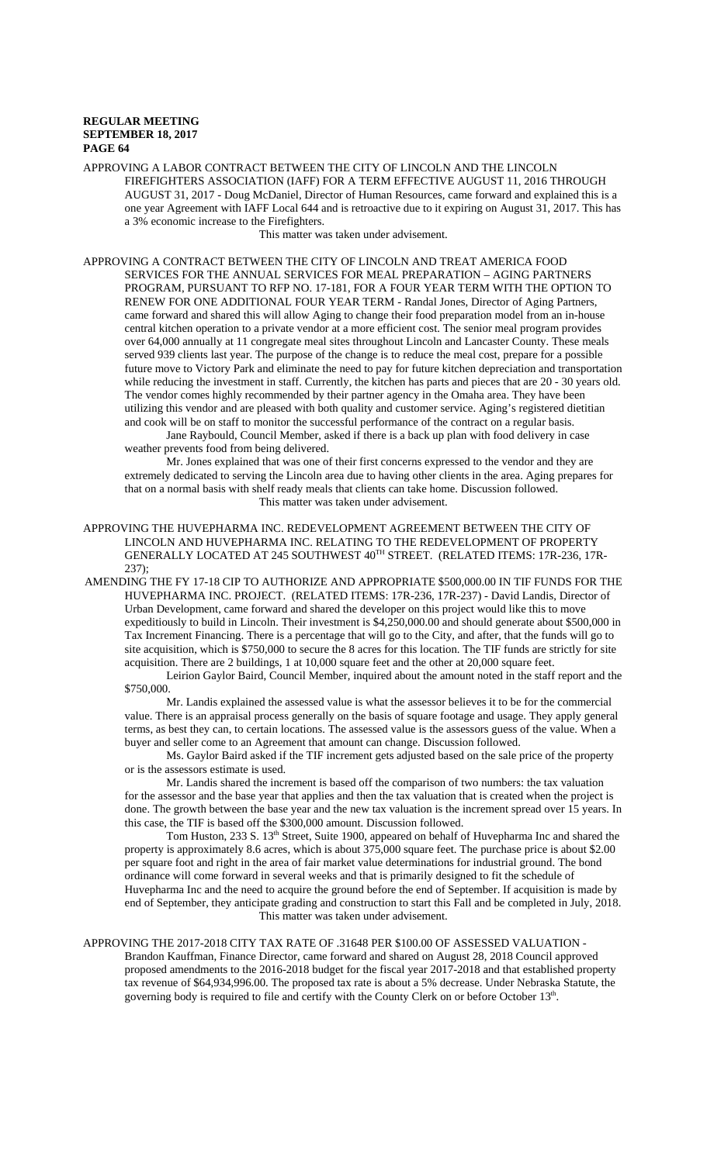APPROVING A LABOR CONTRACT BETWEEN THE CITY OF LINCOLN AND THE LINCOLN FIREFIGHTERS ASSOCIATION (IAFF) FOR A TERM EFFECTIVE AUGUST 11, 2016 THROUGH AUGUST 31, 2017 - Doug McDaniel, Director of Human Resources, came forward and explained this is a one year Agreement with IAFF Local 644 and is retroactive due to it expiring on August 31, 2017. This has a 3% economic increase to the Firefighters.

This matter was taken under advisement.

APPROVING A CONTRACT BETWEEN THE CITY OF LINCOLN AND TREAT AMERICA FOOD SERVICES FOR THE ANNUAL SERVICES FOR MEAL PREPARATION – AGING PARTNERS PROGRAM, PURSUANT TO RFP NO. 17-181, FOR A FOUR YEAR TERM WITH THE OPTION TO RENEW FOR ONE ADDITIONAL FOUR YEAR TERM - Randal Jones, Director of Aging Partners, came forward and shared this will allow Aging to change their food preparation model from an in-house central kitchen operation to a private vendor at a more efficient cost. The senior meal program provides over 64,000 annually at 11 congregate meal sites throughout Lincoln and Lancaster County. These meals served 939 clients last year. The purpose of the change is to reduce the meal cost, prepare for a possible future move to Victory Park and eliminate the need to pay for future kitchen depreciation and transportation while reducing the investment in staff. Currently, the kitchen has parts and pieces that are 20 - 30 years old. The vendor comes highly recommended by their partner agency in the Omaha area. They have been utilizing this vendor and are pleased with both quality and customer service. Aging's registered dietitian and cook will be on staff to monitor the successful performance of the contract on a regular basis.

Jane Raybould, Council Member, asked if there is a back up plan with food delivery in case weather prevents food from being delivered.

Mr. Jones explained that was one of their first concerns expressed to the vendor and they are extremely dedicated to serving the Lincoln area due to having other clients in the area. Aging prepares for that on a normal basis with shelf ready meals that clients can take home. Discussion followed. This matter was taken under advisement.

APPROVING THE HUVEPHARMA INC. REDEVELOPMENT AGREEMENT BETWEEN THE CITY OF LINCOLN AND HUVEPHARMA INC. RELATING TO THE REDEVELOPMENT OF PROPERTY GENERALLY LOCATED AT 245 SOUTHWEST 40TH STREET. (RELATED ITEMS: 17R-236, 17R-237);

AMENDING THE FY 17-18 CIP TO AUTHORIZE AND APPROPRIATE \$500,000.00 IN TIF FUNDS FOR THE HUVEPHARMA INC. PROJECT. (RELATED ITEMS: 17R-236, 17R-237) - David Landis, Director of Urban Development, came forward and shared the developer on this project would like this to move expeditiously to build in Lincoln. Their investment is \$4,250,000.00 and should generate about \$500,000 in Tax Increment Financing. There is a percentage that will go to the City, and after, that the funds will go to site acquisition, which is \$750,000 to secure the 8 acres for this location. The TIF funds are strictly for site acquisition. There are 2 buildings, 1 at 10,000 square feet and the other at 20,000 square feet.

Leirion Gaylor Baird, Council Member, inquired about the amount noted in the staff report and the \$750,000.

Mr. Landis explained the assessed value is what the assessor believes it to be for the commercial value. There is an appraisal process generally on the basis of square footage and usage. They apply general terms, as best they can, to certain locations. The assessed value is the assessors guess of the value. When a buyer and seller come to an Agreement that amount can change. Discussion followed.

Ms. Gaylor Baird asked if the TIF increment gets adjusted based on the sale price of the property or is the assessors estimate is used.

Mr. Landis shared the increment is based off the comparison of two numbers: the tax valuation for the assessor and the base year that applies and then the tax valuation that is created when the project is done. The growth between the base year and the new tax valuation is the increment spread over 15 years. In this case, the TIF is based off the \$300,000 amount. Discussion followed.

Tom Huston, 233 S. 13<sup>th</sup> Street, Suite 1900, appeared on behalf of Huvepharma Inc and shared the property is approximately 8.6 acres, which is about 375,000 square feet. The purchase price is about \$2.00 per square foot and right in the area of fair market value determinations for industrial ground. The bond ordinance will come forward in several weeks and that is primarily designed to fit the schedule of Huvepharma Inc and the need to acquire the ground before the end of September. If acquisition is made by end of September, they anticipate grading and construction to start this Fall and be completed in July, 2018. This matter was taken under advisement.

APPROVING THE 2017-2018 CITY TAX RATE OF .31648 PER \$100.00 OF ASSESSED VALUATION - Brandon Kauffman, Finance Director, came forward and shared on August 28, 2018 Council approved proposed amendments to the 2016-2018 budget for the fiscal year 2017-2018 and that established property tax revenue of \$64,934,996.00. The proposed tax rate is about a 5% decrease. Under Nebraska Statute, the governing body is required to file and certify with the County Clerk on or before October 13<sup>th</sup>.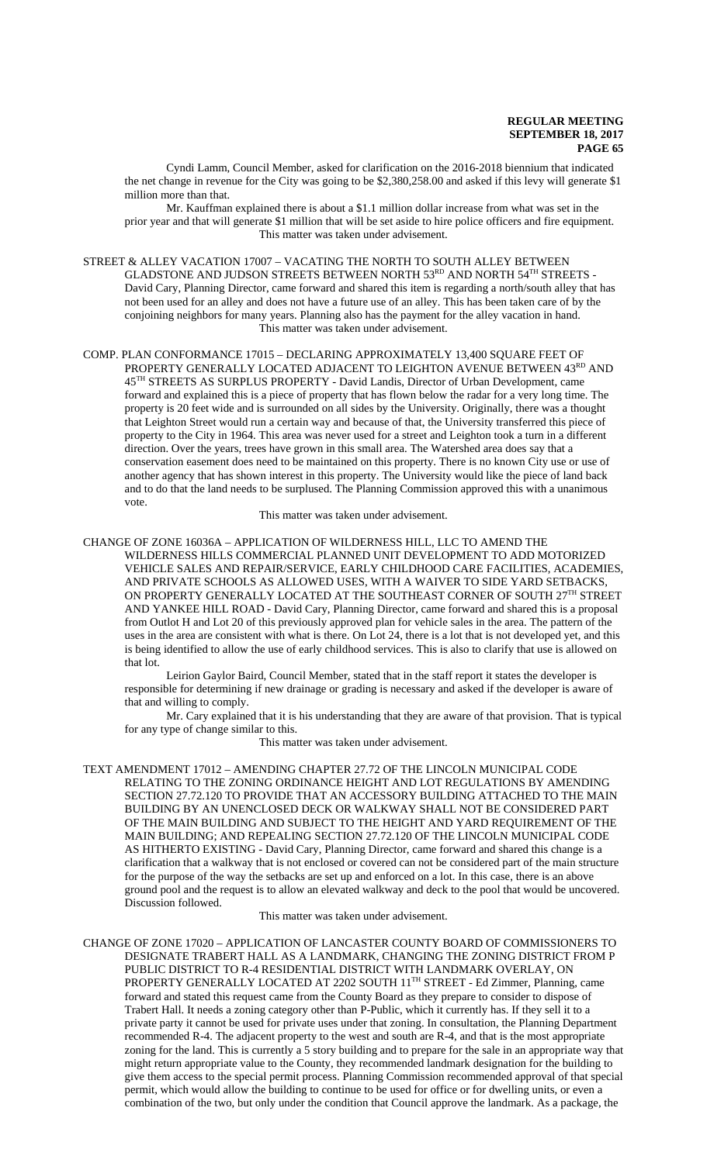Cyndi Lamm, Council Member, asked for clarification on the 2016-2018 biennium that indicated the net change in revenue for the City was going to be \$2,380,258.00 and asked if this levy will generate \$1 million more than that.

Mr. Kauffman explained there is about a \$1.1 million dollar increase from what was set in the prior year and that will generate \$1 million that will be set aside to hire police officers and fire equipment. This matter was taken under advisement.

STREET & ALLEY VACATION 17007 – VACATING THE NORTH TO SOUTH ALLEY BETWEEN GLADSTONE AND JUDSON STREETS BETWEEN NORTH 53RD AND NORTH 54TH STREETS -David Cary, Planning Director, came forward and shared this item is regarding a north/south alley that has not been used for an alley and does not have a future use of an alley. This has been taken care of by the conjoining neighbors for many years. Planning also has the payment for the alley vacation in hand. This matter was taken under advisement.

COMP. PLAN CONFORMANCE 17015 – DECLARING APPROXIMATELY 13,400 SQUARE FEET OF PROPERTY GENERALLY LOCATED ADJACENT TO LEIGHTON AVENUE BETWEEN 43RD AND 45TH STREETS AS SURPLUS PROPERTY - David Landis, Director of Urban Development, came forward and explained this is a piece of property that has flown below the radar for a very long time. The property is 20 feet wide and is surrounded on all sides by the University. Originally, there was a thought that Leighton Street would run a certain way and because of that, the University transferred this piece of property to the City in 1964. This area was never used for a street and Leighton took a turn in a different direction. Over the years, trees have grown in this small area. The Watershed area does say that a conservation easement does need to be maintained on this property. There is no known City use or use of another agency that has shown interest in this property. The University would like the piece of land back and to do that the land needs to be surplused. The Planning Commission approved this with a unanimous vote.

This matter was taken under advisement.

CHANGE OF ZONE 16036A – APPLICATION OF WILDERNESS HILL, LLC TO AMEND THE WILDERNESS HILLS COMMERCIAL PLANNED UNIT DEVELOPMENT TO ADD MOTORIZED VEHICLE SALES AND REPAIR/SERVICE, EARLY CHILDHOOD CARE FACILITIES, ACADEMIES, AND PRIVATE SCHOOLS AS ALLOWED USES, WITH A WAIVER TO SIDE YARD SETBACKS, ON PROPERTY GENERALLY LOCATED AT THE SOUTHEAST CORNER OF SOUTH  $27^{\mathrm{TH}}$  STREET AND YANKEE HILL ROAD - David Cary, Planning Director, came forward and shared this is a proposal from Outlot H and Lot 20 of this previously approved plan for vehicle sales in the area. The pattern of the uses in the area are consistent with what is there. On Lot 24, there is a lot that is not developed yet, and this is being identified to allow the use of early childhood services. This is also to clarify that use is allowed on that lot.

Leirion Gaylor Baird, Council Member, stated that in the staff report it states the developer is responsible for determining if new drainage or grading is necessary and asked if the developer is aware of that and willing to comply.

Mr. Cary explained that it is his understanding that they are aware of that provision. That is typical for any type of change similar to this.

This matter was taken under advisement.

TEXT AMENDMENT 17012 – AMENDING CHAPTER 27.72 OF THE LINCOLN MUNICIPAL CODE RELATING TO THE ZONING ORDINANCE HEIGHT AND LOT REGULATIONS BY AMENDING SECTION 27.72.120 TO PROVIDE THAT AN ACCESSORY BUILDING ATTACHED TO THE MAIN BUILDING BY AN UNENCLOSED DECK OR WALKWAY SHALL NOT BE CONSIDERED PART OF THE MAIN BUILDING AND SUBJECT TO THE HEIGHT AND YARD REQUIREMENT OF THE MAIN BUILDING; AND REPEALING SECTION 27.72.120 OF THE LINCOLN MUNICIPAL CODE AS HITHERTO EXISTING - David Cary, Planning Director, came forward and shared this change is a clarification that a walkway that is not enclosed or covered can not be considered part of the main structure for the purpose of the way the setbacks are set up and enforced on a lot. In this case, there is an above ground pool and the request is to allow an elevated walkway and deck to the pool that would be uncovered. Discussion followed.

#### This matter was taken under advisement.

CHANGE OF ZONE 17020 – APPLICATION OF LANCASTER COUNTY BOARD OF COMMISSIONERS TO DESIGNATE TRABERT HALL AS A LANDMARK, CHANGING THE ZONING DISTRICT FROM P PUBLIC DISTRICT TO R-4 RESIDENTIAL DISTRICT WITH LANDMARK OVERLAY, ON PROPERTY GENERALLY LOCATED AT 2202 SOUTH 11<sup>TH</sup> STREET - Ed Zimmer, Planning, came forward and stated this request came from the County Board as they prepare to consider to dispose of Trabert Hall. It needs a zoning category other than P-Public, which it currently has. If they sell it to a private party it cannot be used for private uses under that zoning. In consultation, the Planning Department recommended R-4. The adjacent property to the west and south are R-4, and that is the most appropriate zoning for the land. This is currently a 5 story building and to prepare for the sale in an appropriate way that might return appropriate value to the County, they recommended landmark designation for the building to give them access to the special permit process. Planning Commission recommended approval of that special permit, which would allow the building to continue to be used for office or for dwelling units, or even a combination of the two, but only under the condition that Council approve the landmark. As a package, the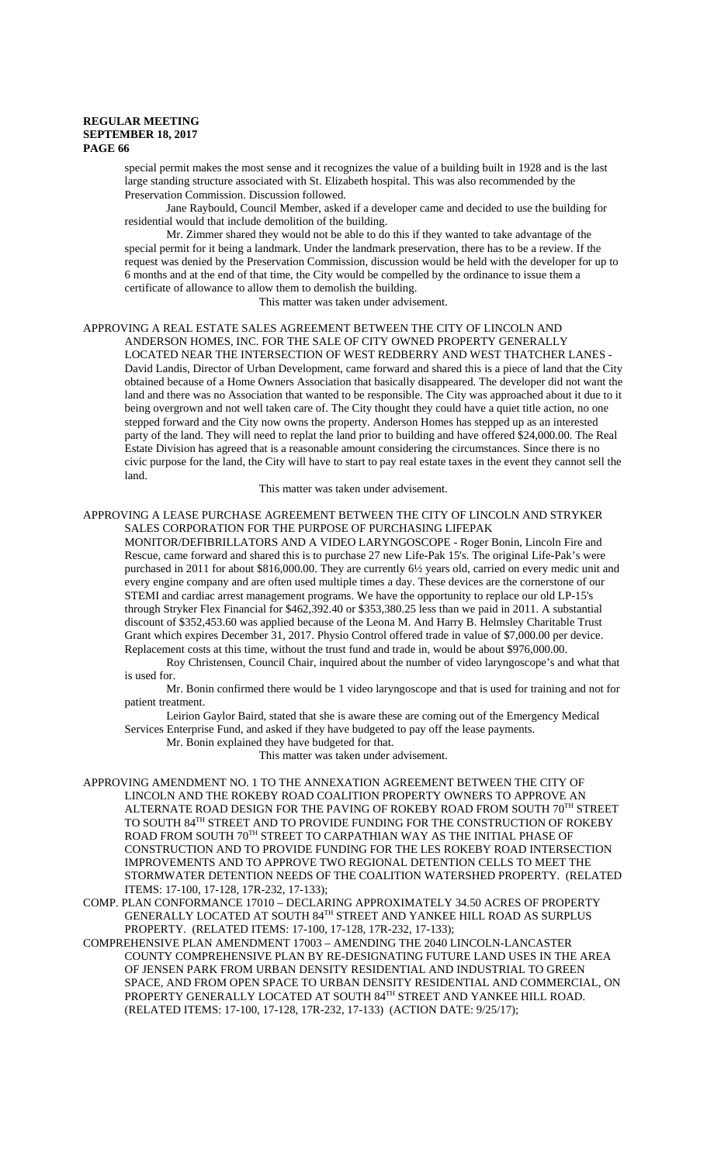special permit makes the most sense and it recognizes the value of a building built in 1928 and is the last large standing structure associated with St. Elizabeth hospital. This was also recommended by the Preservation Commission. Discussion followed.

Jane Raybould, Council Member, asked if a developer came and decided to use the building for residential would that include demolition of the building.

Mr. Zimmer shared they would not be able to do this if they wanted to take advantage of the special permit for it being a landmark. Under the landmark preservation, there has to be a review. If the request was denied by the Preservation Commission, discussion would be held with the developer for up to 6 months and at the end of that time, the City would be compelled by the ordinance to issue them a certificate of allowance to allow them to demolish the building.

This matter was taken under advisement.

#### APPROVING A REAL ESTATE SALES AGREEMENT BETWEEN THE CITY OF LINCOLN AND ANDERSON HOMES, INC. FOR THE SALE OF CITY OWNED PROPERTY GENERALLY LOCATED NEAR THE INTERSECTION OF WEST REDBERRY AND WEST THATCHER LANES - David Landis, Director of Urban Development, came forward and shared this is a piece of land that the City obtained because of a Home Owners Association that basically disappeared. The developer did not want the land and there was no Association that wanted to be responsible. The City was approached about it due to it being overgrown and not well taken care of. The City thought they could have a quiet title action, no one stepped forward and the City now owns the property. Anderson Homes has stepped up as an interested party of the land. They will need to replat the land prior to building and have offered \$24,000.00. The Real Estate Division has agreed that is a reasonable amount considering the circumstances. Since there is no civic purpose for the land, the City will have to start to pay real estate taxes in the event they cannot sell the land.

This matter was taken under advisement.

### APPROVING A LEASE PURCHASE AGREEMENT BETWEEN THE CITY OF LINCOLN AND STRYKER SALES CORPORATION FOR THE PURPOSE OF PURCHASING LIFEPAK

MONITOR/DEFIBRILLATORS AND A VIDEO LARYNGOSCOPE - Roger Bonin, Lincoln Fire and Rescue, came forward and shared this is to purchase 27 new Life-Pak 15's. The original Life-Pak's were purchased in 2011 for about \$816,000.00. They are currently 6½ years old, carried on every medic unit and every engine company and are often used multiple times a day. These devices are the cornerstone of our STEMI and cardiac arrest management programs. We have the opportunity to replace our old LP-15's through Stryker Flex Financial for \$462,392.40 or \$353,380.25 less than we paid in 2011. A substantial discount of \$352,453.60 was applied because of the Leona M. And Harry B. Helmsley Charitable Trust Grant which expires December 31, 2017. Physio Control offered trade in value of \$7,000.00 per device. Replacement costs at this time, without the trust fund and trade in, would be about \$976,000.00.

Roy Christensen, Council Chair, inquired about the number of video laryngoscope's and what that is used for.

#### Mr. Bonin confirmed there would be 1 video laryngoscope and that is used for training and not for patient treatment.

Leirion Gaylor Baird, stated that she is aware these are coming out of the Emergency Medical Services Enterprise Fund, and asked if they have budgeted to pay off the lease payments.

Mr. Bonin explained they have budgeted for that.

This matter was taken under advisement.

- APPROVING AMENDMENT NO. 1 TO THE ANNEXATION AGREEMENT BETWEEN THE CITY OF LINCOLN AND THE ROKEBY ROAD COALITION PROPERTY OWNERS TO APPROVE AN ALTERNATE ROAD DESIGN FOR THE PAVING OF ROKEBY ROAD FROM SOUTH  $70^{\mathrm{TH}}$  STREET TO SOUTH 84TH STREET AND TO PROVIDE FUNDING FOR THE CONSTRUCTION OF ROKEBY ROAD FROM SOUTH 70TH STREET TO CARPATHIAN WAY AS THE INITIAL PHASE OF CONSTRUCTION AND TO PROVIDE FUNDING FOR THE LES ROKEBY ROAD INTERSECTION IMPROVEMENTS AND TO APPROVE TWO REGIONAL DETENTION CELLS TO MEET THE STORMWATER DETENTION NEEDS OF THE COALITION WATERSHED PROPERTY. (RELATED ITEMS: 17-100, 17-128, 17R-232, 17-133);
- COMP. PLAN CONFORMANCE 17010 DECLARING APPROXIMATELY 34.50 ACRES OF PROPERTY GENERALLY LOCATED AT SOUTH 84TH STREET AND YANKEE HILL ROAD AS SURPLUS PROPERTY. (RELATED ITEMS: 17-100, 17-128, 17R-232, 17-133);
- COMPREHENSIVE PLAN AMENDMENT 17003 AMENDING THE 2040 LINCOLN-LANCASTER COUNTY COMPREHENSIVE PLAN BY RE-DESIGNATING FUTURE LAND USES IN THE AREA OF JENSEN PARK FROM URBAN DENSITY RESIDENTIAL AND INDUSTRIAL TO GREEN SPACE, AND FROM OPEN SPACE TO URBAN DENSITY RESIDENTIAL AND COMMERCIAL, ON PROPERTY GENERALLY LOCATED AT SOUTH 84TH STREET AND YANKEE HILL ROAD. (RELATED ITEMS: 17-100, 17-128, 17R-232, 17-133) (ACTION DATE: 9/25/17);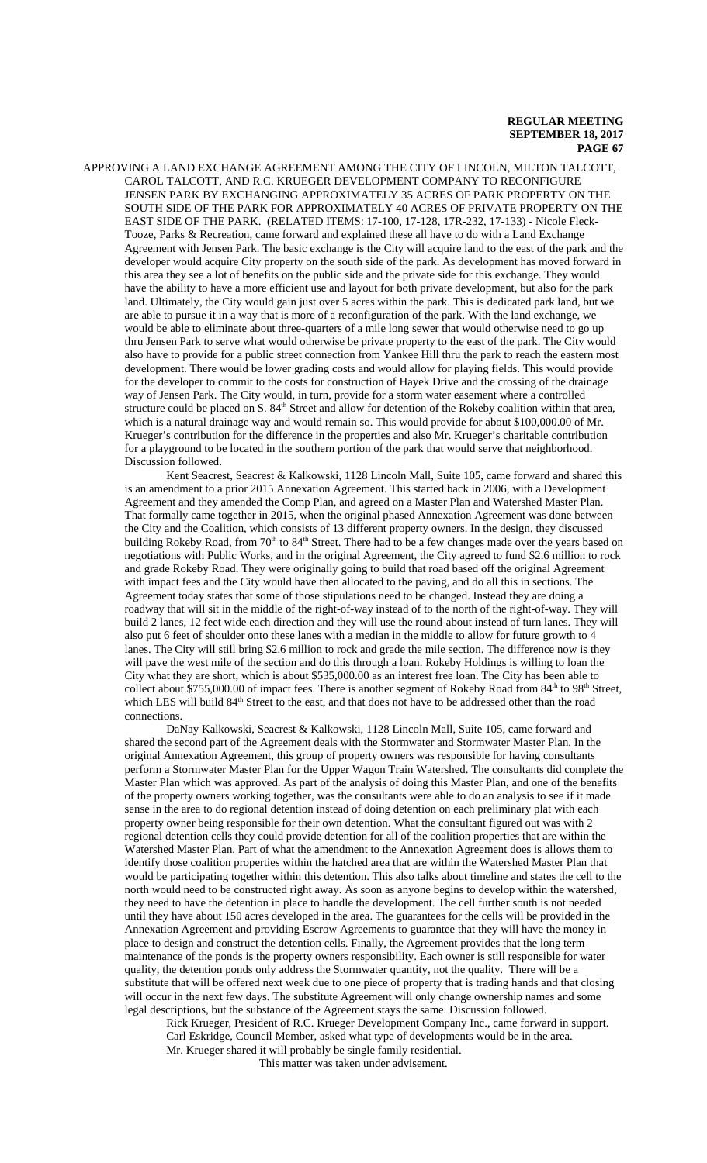APPROVING A LAND EXCHANGE AGREEMENT AMONG THE CITY OF LINCOLN, MILTON TALCOTT, CAROL TALCOTT, AND R.C. KRUEGER DEVELOPMENT COMPANY TO RECONFIGURE JENSEN PARK BY EXCHANGING APPROXIMATELY 35 ACRES OF PARK PROPERTY ON THE SOUTH SIDE OF THE PARK FOR APPROXIMATELY 40 ACRES OF PRIVATE PROPERTY ON THE EAST SIDE OF THE PARK. (RELATED ITEMS: 17-100, 17-128, 17R-232, 17-133) - Nicole Fleck-Tooze, Parks & Recreation, came forward and explained these all have to do with a Land Exchange Agreement with Jensen Park. The basic exchange is the City will acquire land to the east of the park and the developer would acquire City property on the south side of the park. As development has moved forward in this area they see a lot of benefits on the public side and the private side for this exchange. They would have the ability to have a more efficient use and layout for both private development, but also for the park land. Ultimately, the City would gain just over 5 acres within the park. This is dedicated park land, but we are able to pursue it in a way that is more of a reconfiguration of the park. With the land exchange, we would be able to eliminate about three-quarters of a mile long sewer that would otherwise need to go up thru Jensen Park to serve what would otherwise be private property to the east of the park. The City would also have to provide for a public street connection from Yankee Hill thru the park to reach the eastern most development. There would be lower grading costs and would allow for playing fields. This would provide for the developer to commit to the costs for construction of Hayek Drive and the crossing of the drainage way of Jensen Park. The City would, in turn, provide for a storm water easement where a controlled structure could be placed on S. 84<sup>th</sup> Street and allow for detention of the Rokeby coalition within that area, which is a natural drainage way and would remain so. This would provide for about \$100,000.00 of Mr. Krueger's contribution for the difference in the properties and also Mr. Krueger's charitable contribution for a playground to be located in the southern portion of the park that would serve that neighborhood. Discussion followed.

Kent Seacrest, Seacrest & Kalkowski, 1128 Lincoln Mall, Suite 105, came forward and shared this is an amendment to a prior 2015 Annexation Agreement. This started back in 2006, with a Development Agreement and they amended the Comp Plan, and agreed on a Master Plan and Watershed Master Plan. That formally came together in 2015, when the original phased Annexation Agreement was done between the City and the Coalition, which consists of 13 different property owners. In the design, they discussed building Rokeby Road, from 70<sup>th</sup> to 84<sup>th</sup> Street. There had to be a few changes made over the years based on negotiations with Public Works, and in the original Agreement, the City agreed to fund \$2.6 million to rock and grade Rokeby Road. They were originally going to build that road based off the original Agreement with impact fees and the City would have then allocated to the paving, and do all this in sections. The Agreement today states that some of those stipulations need to be changed. Instead they are doing a roadway that will sit in the middle of the right-of-way instead of to the north of the right-of-way. They will build 2 lanes, 12 feet wide each direction and they will use the round-about instead of turn lanes. They will also put 6 feet of shoulder onto these lanes with a median in the middle to allow for future growth to 4 lanes. The City will still bring \$2.6 million to rock and grade the mile section. The difference now is they will pave the west mile of the section and do this through a loan. Rokeby Holdings is willing to loan the City what they are short, which is about \$535,000.00 as an interest free loan. The City has been able to collect about \$755,000.00 of impact fees. There is another segment of Rokeby Road from 84<sup>th</sup> to 98<sup>th</sup> Street, which LES will build 84<sup>th</sup> Street to the east, and that does not have to be addressed other than the road connections.

DaNay Kalkowski, Seacrest & Kalkowski, 1128 Lincoln Mall, Suite 105, came forward and shared the second part of the Agreement deals with the Stormwater and Stormwater Master Plan. In the original Annexation Agreement, this group of property owners was responsible for having consultants perform a Stormwater Master Plan for the Upper Wagon Train Watershed. The consultants did complete the Master Plan which was approved. As part of the analysis of doing this Master Plan, and one of the benefits of the property owners working together, was the consultants were able to do an analysis to see if it made sense in the area to do regional detention instead of doing detention on each preliminary plat with each property owner being responsible for their own detention. What the consultant figured out was with 2 regional detention cells they could provide detention for all of the coalition properties that are within the Watershed Master Plan. Part of what the amendment to the Annexation Agreement does is allows them to identify those coalition properties within the hatched area that are within the Watershed Master Plan that would be participating together within this detention. This also talks about timeline and states the cell to the north would need to be constructed right away. As soon as anyone begins to develop within the watershed, they need to have the detention in place to handle the development. The cell further south is not needed until they have about 150 acres developed in the area. The guarantees for the cells will be provided in the Annexation Agreement and providing Escrow Agreements to guarantee that they will have the money in place to design and construct the detention cells. Finally, the Agreement provides that the long term maintenance of the ponds is the property owners responsibility. Each owner is still responsible for water quality, the detention ponds only address the Stormwater quantity, not the quality. There will be a substitute that will be offered next week due to one piece of property that is trading hands and that closing will occur in the next few days. The substitute Agreement will only change ownership names and some legal descriptions, but the substance of the Agreement stays the same. Discussion followed.

Rick Krueger, President of R.C. Krueger Development Company Inc., came forward in support. Carl Eskridge, Council Member, asked what type of developments would be in the area. Mr. Krueger shared it will probably be single family residential.

This matter was taken under advisement.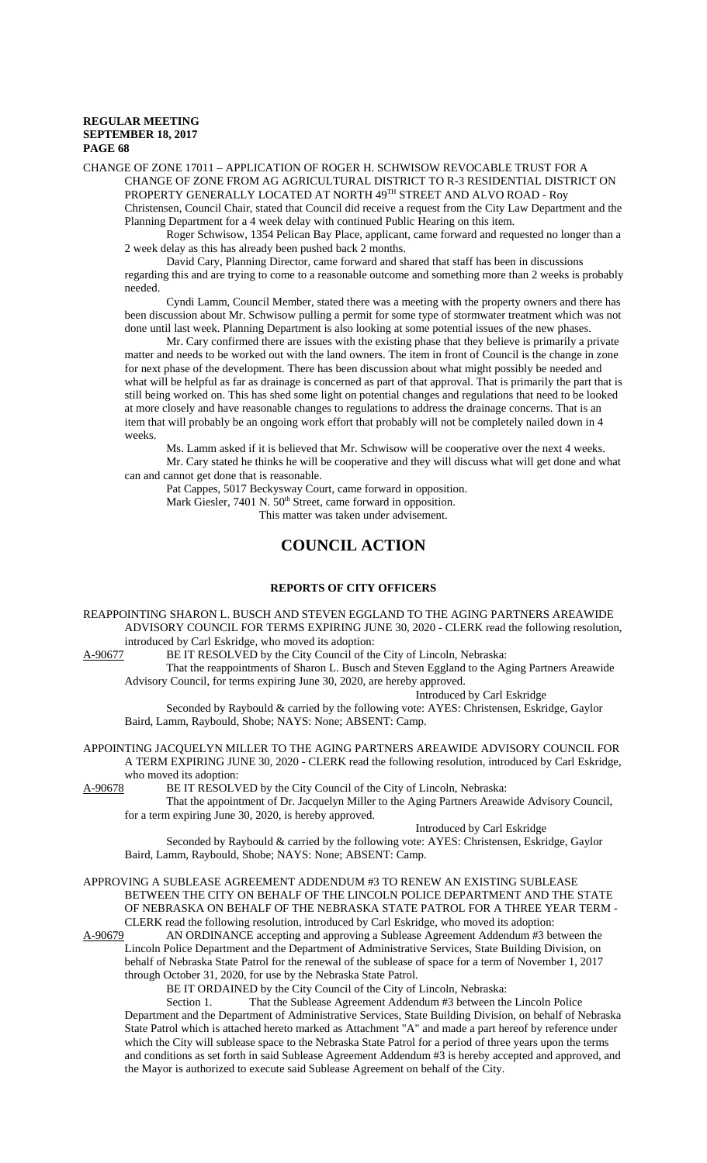CHANGE OF ZONE 17011 – APPLICATION OF ROGER H. SCHWISOW REVOCABLE TRUST FOR A CHANGE OF ZONE FROM AG AGRICULTURAL DISTRICT TO R-3 RESIDENTIAL DISTRICT ON PROPERTY GENERALLY LOCATED AT NORTH 49TH STREET AND ALVO ROAD - Roy

Christensen, Council Chair, stated that Council did receive a request from the City Law Department and the Planning Department for a 4 week delay with continued Public Hearing on this item.

Roger Schwisow, 1354 Pelican Bay Place, applicant, came forward and requested no longer than a 2 week delay as this has already been pushed back 2 months.

David Cary, Planning Director, came forward and shared that staff has been in discussions regarding this and are trying to come to a reasonable outcome and something more than 2 weeks is probably needed.

Cyndi Lamm, Council Member, stated there was a meeting with the property owners and there has been discussion about Mr. Schwisow pulling a permit for some type of stormwater treatment which was not done until last week. Planning Department is also looking at some potential issues of the new phases.

Mr. Cary confirmed there are issues with the existing phase that they believe is primarily a private matter and needs to be worked out with the land owners. The item in front of Council is the change in zone for next phase of the development. There has been discussion about what might possibly be needed and what will be helpful as far as drainage is concerned as part of that approval. That is primarily the part that is still being worked on. This has shed some light on potential changes and regulations that need to be looked at more closely and have reasonable changes to regulations to address the drainage concerns. That is an item that will probably be an ongoing work effort that probably will not be completely nailed down in 4 weeks.

Ms. Lamm asked if it is believed that Mr. Schwisow will be cooperative over the next 4 weeks. Mr. Cary stated he thinks he will be cooperative and they will discuss what will get done and what can and cannot get done that is reasonable.

Pat Cappes, 5017 Beckysway Court, came forward in opposition.

Mark Giesler, 7401 N. 50<sup>th</sup> Street, came forward in opposition.

This matter was taken under advisement.

# **COUNCIL ACTION**

# **REPORTS OF CITY OFFICERS**

REAPPOINTING SHARON L. BUSCH AND STEVEN EGGLAND TO THE AGING PARTNERS AREAWIDE ADVISORY COUNCIL FOR TERMS EXPIRING JUNE 30, 2020 - CLERK read the following resolution, introduced by Carl Eskridge, who moved its adoption:

A-90677 BE IT RESOLVED by the City Council of the City of Lincoln, Nebraska:

That the reappointments of Sharon L. Busch and Steven Eggland to the Aging Partners Areawide Advisory Council, for terms expiring June 30, 2020, are hereby approved.

Introduced by Carl Eskridge

Seconded by Raybould & carried by the following vote: AYES: Christensen, Eskridge, Gaylor Baird, Lamm, Raybould, Shobe; NAYS: None; ABSENT: Camp.

APPOINTING JACQUELYN MILLER TO THE AGING PARTNERS AREAWIDE ADVISORY COUNCIL FOR A TERM EXPIRING JUNE 30, 2020 - CLERK read the following resolution, introduced by Carl Eskridge, who moved its adoption:<br>A-90678 BE IT RESOLV

BE IT RESOLVED by the City Council of the City of Lincoln, Nebraska:

That the appointment of Dr. Jacquelyn Miller to the Aging Partners Areawide Advisory Council, for a term expiring June 30, 2020, is hereby approved.

#### Introduced by Carl Eskridge

Seconded by Raybould & carried by the following vote: AYES: Christensen, Eskridge, Gaylor Baird, Lamm, Raybould, Shobe; NAYS: None; ABSENT: Camp.

APPROVING A SUBLEASE AGREEMENT ADDENDUM #3 TO RENEW AN EXISTING SUBLEASE BETWEEN THE CITY ON BEHALF OF THE LINCOLN POLICE DEPARTMENT AND THE STATE OF NEBRASKA ON BEHALF OF THE NEBRASKA STATE PATROL FOR A THREE YEAR TERM - CLERK read the following resolution, introduced by Carl Eskridge, who moved its adoption:

A-90679 AN ORDINANCE accepting and approving a Sublease Agreement Addendum #3 between the Lincoln Police Department and the Department of Administrative Services, State Building Division, on behalf of Nebraska State Patrol for the renewal of the sublease of space for a term of November 1, 2017 through October 31, 2020, for use by the Nebraska State Patrol.

BE IT ORDAINED by the City Council of the City of Lincoln, Nebraska:

Section 1. That the Sublease Agreement Addendum #3 between the Lincoln Police Department and the Department of Administrative Services, State Building Division, on behalf of Nebraska State Patrol which is attached hereto marked as Attachment "A" and made a part hereof by reference under which the City will sublease space to the Nebraska State Patrol for a period of three years upon the terms and conditions as set forth in said Sublease Agreement Addendum #3 is hereby accepted and approved, and the Mayor is authorized to execute said Sublease Agreement on behalf of the City.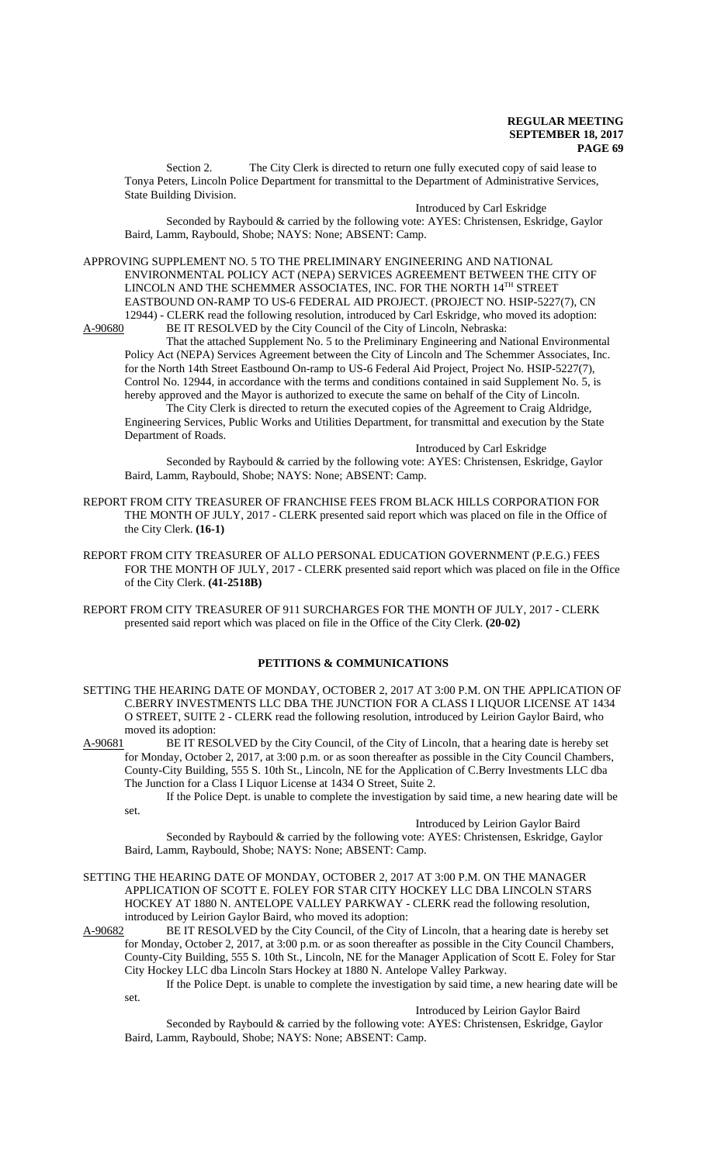Section 2. The City Clerk is directed to return one fully executed copy of said lease to Tonya Peters, Lincoln Police Department for transmittal to the Department of Administrative Services, State Building Division.

Introduced by Carl Eskridge

Seconded by Raybould & carried by the following vote: AYES: Christensen, Eskridge, Gaylor Baird, Lamm, Raybould, Shobe; NAYS: None; ABSENT: Camp.

APPROVING SUPPLEMENT NO. 5 TO THE PRELIMINARY ENGINEERING AND NATIONAL ENVIRONMENTAL POLICY ACT (NEPA) SERVICES AGREEMENT BETWEEN THE CITY OF LINCOLN AND THE SCHEMMER ASSOCIATES, INC. FOR THE NORTH 14TH STREET EASTBOUND ON-RAMP TO US-6 FEDERAL AID PROJECT. (PROJECT NO. HSIP-5227(7), CN 12944) - CLERK read the following resolution, introduced by Carl Eskridge, who moved its adoption:<br>A-90680 BE IT RESOLVED by the City Council of the City of Lincoln, Nebraska:

BE IT RESOLVED by the City Council of the City of Lincoln, Nebraska: That the attached Supplement No. 5 to the Preliminary Engineering and National Environmental Policy Act (NEPA) Services Agreement between the City of Lincoln and The Schemmer Associates, Inc. for the North 14th Street Eastbound On-ramp to US-6 Federal Aid Project, Project No. HSIP-5227(7), Control No. 12944, in accordance with the terms and conditions contained in said Supplement No. 5, is hereby approved and the Mayor is authorized to execute the same on behalf of the City of Lincoln.

The City Clerk is directed to return the executed copies of the Agreement to Craig Aldridge, Engineering Services, Public Works and Utilities Department, for transmittal and execution by the State Department of Roads.

Introduced by Carl Eskridge

Seconded by Raybould & carried by the following vote: AYES: Christensen, Eskridge, Gaylor Baird, Lamm, Raybould, Shobe; NAYS: None; ABSENT: Camp.

REPORT FROM CITY TREASURER OF FRANCHISE FEES FROM BLACK HILLS CORPORATION FOR THE MONTH OF JULY, 2017 - CLERK presented said report which was placed on file in the Office of the City Clerk. **(16-1)**

REPORT FROM CITY TREASURER OF ALLO PERSONAL EDUCATION GOVERNMENT (P.E.G.) FEES FOR THE MONTH OF JULY, 2017 - CLERK presented said report which was placed on file in the Office of the City Clerk. **(41-2518B)**

REPORT FROM CITY TREASURER OF 911 SURCHARGES FOR THE MONTH OF JULY, 2017 - CLERK presented said report which was placed on file in the Office of the City Clerk. **(20-02)**

# **PETITIONS & COMMUNICATIONS**

SETTING THE HEARING DATE OF MONDAY, OCTOBER 2, 2017 AT 3:00 P.M. ON THE APPLICATION OF C.BERRY INVESTMENTS LLC DBA THE JUNCTION FOR A CLASS I LIQUOR LICENSE AT 1434 O STREET, SUITE 2 - CLERK read the following resolution, introduced by Leirion Gaylor Baird, who moved its adoption:

A-90681 BE IT RESOLVED by the City Council, of the City of Lincoln, that a hearing date is hereby set for Monday, October 2, 2017, at 3:00 p.m. or as soon thereafter as possible in the City Council Chambers, County-City Building, 555 S. 10th St., Lincoln, NE for the Application of C.Berry Investments LLC dba The Junction for a Class I Liquor License at 1434 O Street, Suite 2.

If the Police Dept. is unable to complete the investigation by said time, a new hearing date will be set.

#### Introduced by Leirion Gaylor Baird

Seconded by Raybould & carried by the following vote: AYES: Christensen, Eskridge, Gaylor Baird, Lamm, Raybould, Shobe; NAYS: None; ABSENT: Camp.

#### SETTING THE HEARING DATE OF MONDAY, OCTOBER 2, 2017 AT 3:00 P.M. ON THE MANAGER APPLICATION OF SCOTT E. FOLEY FOR STAR CITY HOCKEY LLC DBA LINCOLN STARS HOCKEY AT 1880 N. ANTELOPE VALLEY PARKWAY - CLERK read the following resolution, introduced by Leirion Gaylor Baird, who moved its adoption:

A-90682 BE IT RESOLVED by the City Council, of the City of Lincoln, that a hearing date is hereby set for Monday, October 2, 2017, at 3:00 p.m. or as soon thereafter as possible in the City Council Chambers, County-City Building, 555 S. 10th St., Lincoln, NE for the Manager Application of Scott E. Foley for Star City Hockey LLC dba Lincoln Stars Hockey at 1880 N. Antelope Valley Parkway.

If the Police Dept. is unable to complete the investigation by said time, a new hearing date will be set.

#### Introduced by Leirion Gaylor Baird

Seconded by Raybould & carried by the following vote: AYES: Christensen, Eskridge, Gaylor Baird, Lamm, Raybould, Shobe; NAYS: None; ABSENT: Camp.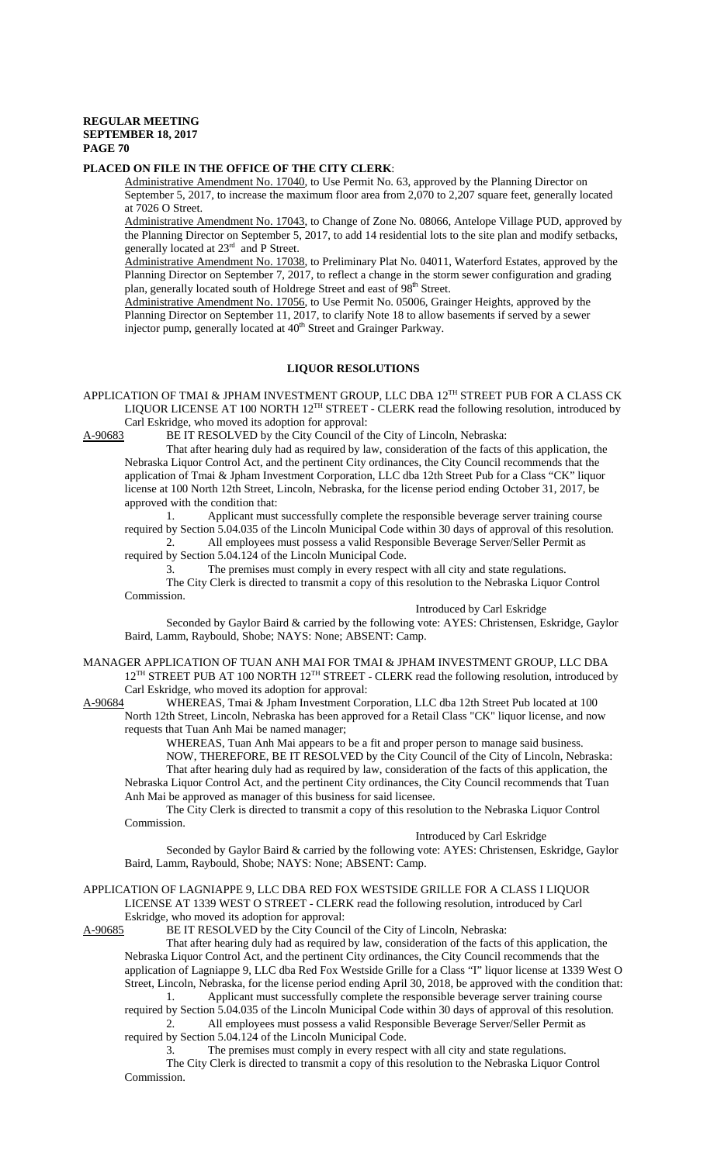#### **PLACED ON FILE IN THE OFFICE OF THE CITY CLERK**:

Administrative Amendment No. 17040, to Use Permit No. 63, approved by the Planning Director on September 5, 2017, to increase the maximum floor area from 2,070 to 2,207 square feet, generally located at 7026 O Street.

Administrative Amendment No. 17043, to Change of Zone No. 08066, Antelope Village PUD, approved by the Planning Director on September 5, 2017, to add 14 residential lots to the site plan and modify setbacks, generally located at 23<sup>rd</sup> and P Street.

Administrative Amendment No. 17038, to Preliminary Plat No. 04011, Waterford Estates, approved by the Planning Director on September 7, 2017, to reflect a change in the storm sewer configuration and grading plan, generally located south of Holdrege Street and east of 98<sup>th</sup> Street.

Administrative Amendment No. 17056, to Use Permit No. 05006, Grainger Heights, approved by the Planning Director on September 11, 2017, to clarify Note 18 to allow basements if served by a sewer injector pump, generally located at 40<sup>th</sup> Street and Grainger Parkway.

# **LIQUOR RESOLUTIONS**

APPLICATION OF TMAI & JPHAM INVESTMENT GROUP, LLC DBA 12TH STREET PUB FOR A CLASS CK LIQUOR LICENSE AT 100 NORTH 12TH STREET - CLERK read the following resolution, introduced by Carl Eskridge, who moved its adoption for approval:

A-90683 BE IT RESOLVED by the City Council of the City of Lincoln, Nebraska:

That after hearing duly had as required by law, consideration of the facts of this application, the Nebraska Liquor Control Act, and the pertinent City ordinances, the City Council recommends that the application of Tmai & Jpham Investment Corporation, LLC dba 12th Street Pub for a Class "CK" liquor license at 100 North 12th Street, Lincoln, Nebraska, for the license period ending October 31, 2017, be approved with the condition that:

1. Applicant must successfully complete the responsible beverage server training course required by Section 5.04.035 of the Lincoln Municipal Code within 30 days of approval of this resolution.

2. All employees must possess a valid Responsible Beverage Server/Seller Permit as required by Section 5.04.124 of the Lincoln Municipal Code.

3. The premises must comply in every respect with all city and state regulations.

The City Clerk is directed to transmit a copy of this resolution to the Nebraska Liquor Control Commission.

Introduced by Carl Eskridge

Seconded by Gaylor Baird & carried by the following vote: AYES: Christensen, Eskridge, Gaylor Baird, Lamm, Raybould, Shobe; NAYS: None; ABSENT: Camp.

MANAGER APPLICATION OF TUAN ANH MAI FOR TMAI & JPHAM INVESTMENT GROUP, LLC DBA 12<sup>TH</sup> STREET PUB AT 100 NORTH 12<sup>TH</sup> STREET - CLERK read the following resolution, introduced by Carl Eskridge, who moved its adoption for approval:<br>A-90684 WHEREAS, Tmai & Jpham Investment Cor

WHEREAS, Tmai & Jpham Investment Corporation, LLC dba 12th Street Pub located at 100 North 12th Street, Lincoln, Nebraska has been approved for a Retail Class "CK" liquor license, and now requests that Tuan Anh Mai be named manager;

WHEREAS, Tuan Anh Mai appears to be a fit and proper person to manage said business.

NOW, THEREFORE, BE IT RESOLVED by the City Council of the City of Lincoln, Nebraska: That after hearing duly had as required by law, consideration of the facts of this application, the Nebraska Liquor Control Act, and the pertinent City ordinances, the City Council recommends that Tuan Anh Mai be approved as manager of this business for said licensee.

The City Clerk is directed to transmit a copy of this resolution to the Nebraska Liquor Control Commission.

### Introduced by Carl Eskridge

Seconded by Gaylor Baird & carried by the following vote: AYES: Christensen, Eskridge, Gaylor Baird, Lamm, Raybould, Shobe; NAYS: None; ABSENT: Camp.

### APPLICATION OF LAGNIAPPE 9, LLC DBA RED FOX WESTSIDE GRILLE FOR A CLASS I LIQUOR LICENSE AT 1339 WEST O STREET - CLERK read the following resolution, introduced by Carl Eskridge, who moved its adoption for approval:

A-90685 BE IT RESOLVED by the City Council of the City of Lincoln, Nebraska:

That after hearing duly had as required by law, consideration of the facts of this application, the Nebraska Liquor Control Act, and the pertinent City ordinances, the City Council recommends that the application of Lagniappe 9, LLC dba Red Fox Westside Grille for a Class "I" liquor license at 1339 West O Street, Lincoln, Nebraska, for the license period ending April 30, 2018, be approved with the condition that:

1. Applicant must successfully complete the responsible beverage server training course required by Section 5.04.035 of the Lincoln Municipal Code within 30 days of approval of this resolution. 2. All employees must possess a valid Responsible Beverage Server/Seller Permit as

required by Section 5.04.124 of the Lincoln Municipal Code.

3. The premises must comply in every respect with all city and state regulations.

The City Clerk is directed to transmit a copy of this resolution to the Nebraska Liquor Control Commission.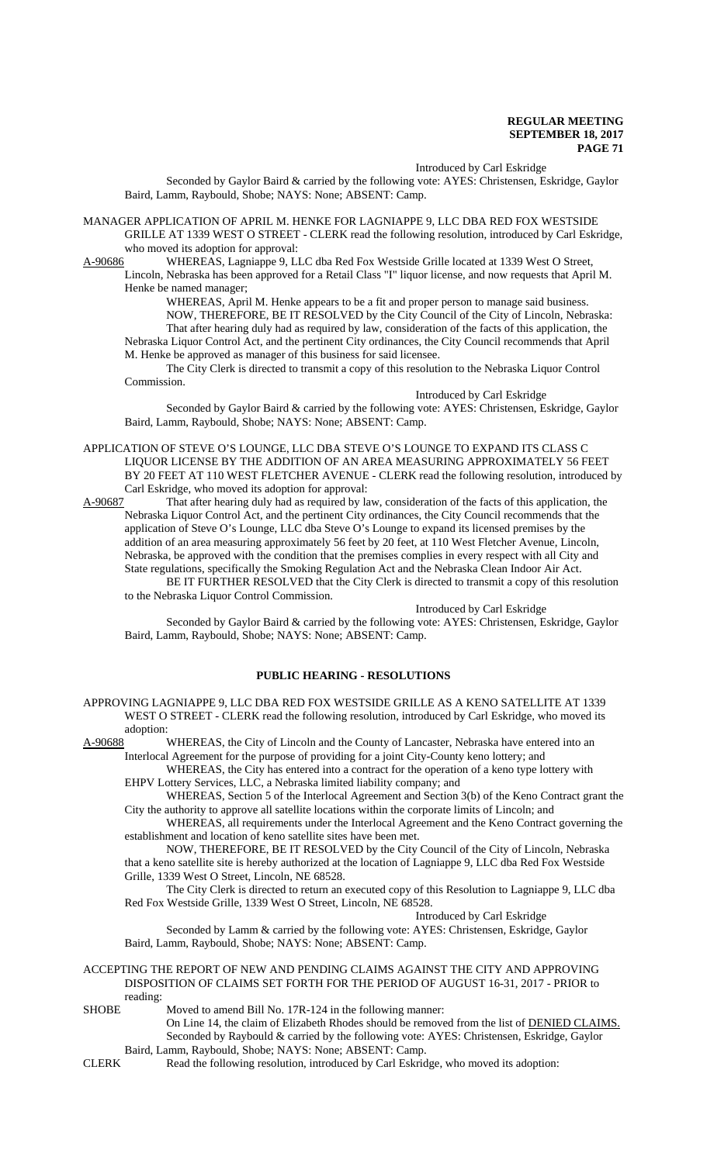#### Introduced by Carl Eskridge

Seconded by Gaylor Baird & carried by the following vote: AYES: Christensen, Eskridge, Gaylor Baird, Lamm, Raybould, Shobe; NAYS: None; ABSENT: Camp.

MANAGER APPLICATION OF APRIL M. HENKE FOR LAGNIAPPE 9, LLC DBA RED FOX WESTSIDE GRILLE AT 1339 WEST O STREET - CLERK read the following resolution, introduced by Carl Eskridge, who moved its adoption for approval:

A-90686 WHEREAS, Lagniappe 9, LLC dba Red Fox Westside Grille located at 1339 West O Street, Lincoln, Nebraska has been approved for a Retail Class "I" liquor license, and now requests that April M. Henke be named manager;

WHEREAS, April M. Henke appears to be a fit and proper person to manage said business. NOW, THEREFORE, BE IT RESOLVED by the City Council of the City of Lincoln, Nebraska: That after hearing duly had as required by law, consideration of the facts of this application, the Nebraska Liquor Control Act, and the pertinent City ordinances, the City Council recommends that April M. Henke be approved as manager of this business for said licensee.

The City Clerk is directed to transmit a copy of this resolution to the Nebraska Liquor Control Commission.

#### Introduced by Carl Eskridge

Seconded by Gaylor Baird & carried by the following vote: AYES: Christensen, Eskridge, Gaylor Baird, Lamm, Raybould, Shobe; NAYS: None; ABSENT: Camp.

- APPLICATION OF STEVE O'S LOUNGE, LLC DBA STEVE O'S LOUNGE TO EXPAND ITS CLASS C LIQUOR LICENSE BY THE ADDITION OF AN AREA MEASURING APPROXIMATELY 56 FEET BY 20 FEET AT 110 WEST FLETCHER AVENUE - CLERK read the following resolution, introduced by Carl Eskridge, who moved its adoption for approval:
- A-90687 That after hearing duly had as required by law, consideration of the facts of this application, the Nebraska Liquor Control Act, and the pertinent City ordinances, the City Council recommends that the application of Steve O's Lounge, LLC dba Steve O's Lounge to expand its licensed premises by the addition of an area measuring approximately 56 feet by 20 feet, at 110 West Fletcher Avenue, Lincoln, Nebraska, be approved with the condition that the premises complies in every respect with all City and State regulations, specifically the Smoking Regulation Act and the Nebraska Clean Indoor Air Act. BE IT FURTHER RESOLVED that the City Clerk is directed to transmit a copy of this resolution to the Nebraska Liquor Control Commission.

Introduced by Carl Eskridge

Seconded by Gaylor Baird & carried by the following vote: AYES: Christensen, Eskridge, Gaylor Baird, Lamm, Raybould, Shobe; NAYS: None; ABSENT: Camp.

# **PUBLIC HEARING - RESOLUTIONS**

APPROVING LAGNIAPPE 9, LLC DBA RED FOX WESTSIDE GRILLE AS A KENO SATELLITE AT 1339 WEST O STREET - CLERK read the following resolution, introduced by Carl Eskridge, who moved its adoption:

A-90688 WHEREAS, the City of Lincoln and the County of Lancaster, Nebraska have entered into an Interlocal Agreement for the purpose of providing for a joint City-County keno lottery; and

WHEREAS, the City has entered into a contract for the operation of a keno type lottery with EHPV Lottery Services, LLC, a Nebraska limited liability company; and

WHEREAS, Section 5 of the Interlocal Agreement and Section 3(b) of the Keno Contract grant the City the authority to approve all satellite locations within the corporate limits of Lincoln; and

WHEREAS, all requirements under the Interlocal Agreement and the Keno Contract governing the establishment and location of keno satellite sites have been met.

NOW, THEREFORE, BE IT RESOLVED by the City Council of the City of Lincoln, Nebraska that a keno satellite site is hereby authorized at the location of Lagniappe 9, LLC dba Red Fox Westside Grille, 1339 West O Street, Lincoln, NE 68528.

The City Clerk is directed to return an executed copy of this Resolution to Lagniappe 9, LLC dba Red Fox Westside Grille, 1339 West O Street, Lincoln, NE 68528.

Introduced by Carl Eskridge

Seconded by Lamm & carried by the following vote: AYES: Christensen, Eskridge, Gaylor Baird, Lamm, Raybould, Shobe; NAYS: None; ABSENT: Camp.

#### ACCEPTING THE REPORT OF NEW AND PENDING CLAIMS AGAINST THE CITY AND APPROVING DISPOSITION OF CLAIMS SET FORTH FOR THE PERIOD OF AUGUST 16-31, 2017 - PRIOR to reading:

- SHOBE Moved to amend Bill No. 17R-124 in the following manner: On Line 14, the claim of Elizabeth Rhodes should be removed from the list of DENIED CLAIMS. Seconded by Raybould & carried by the following vote: AYES: Christensen, Eskridge, Gaylor Baird, Lamm, Raybould, Shobe; NAYS: None; ABSENT: Camp.
- CLERK Read the following resolution, introduced by Carl Eskridge, who moved its adoption: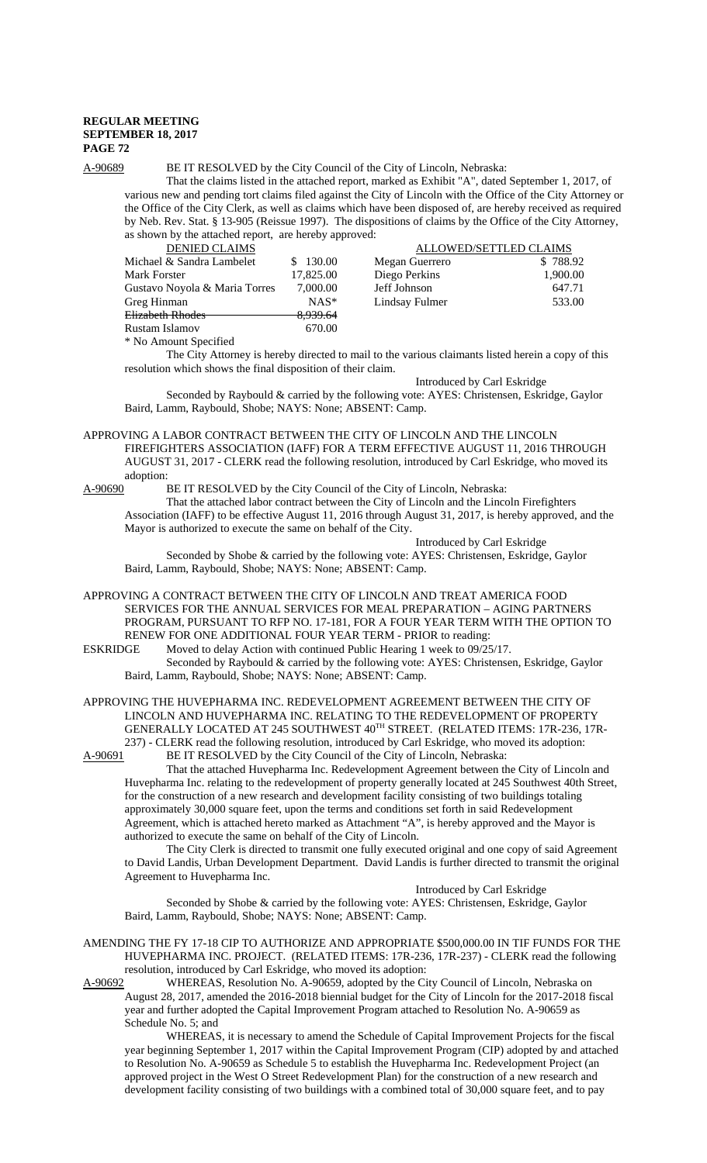## A-90689 BE IT RESOLVED by the City Council of the City of Lincoln, Nebraska:

That the claims listed in the attached report, marked as Exhibit "A", dated September 1, 2017, of various new and pending tort claims filed against the City of Lincoln with the Office of the City Attorney or the Office of the City Clerk, as well as claims which have been disposed of, are hereby received as required by Neb. Rev. Stat. § 13-905 (Reissue 1997). The dispositions of claims by the Office of the City Attorney, as shown by the attached report, are hereby approved:

| <b>DENIED CLAIMS</b>          |                     | ALLOWED/SETTLED CLAIMS |          |
|-------------------------------|---------------------|------------------------|----------|
| Michael & Sandra Lambelet     | 130.00              | Megan Guerrero         | \$788.92 |
| <b>Mark Forster</b>           | 17,825.00           | Diego Perkins          | 1,900.00 |
| Gustavo Noyola & Maria Torres | 7,000.00            | Jeff Johnson           | 647.71   |
| Greg Hinman                   | $NAS^*$             | Lindsay Fulmer         | 533.00   |
| <b>Elizabeth Rhodes</b>       | <del>8,939.64</del> |                        |          |
| Rustam Islamov                | 670.00              |                        |          |
| * No Amount Specified         |                     |                        |          |

The City Attorney is hereby directed to mail to the various claimants listed herein a copy of this resolution which shows the final disposition of their claim.

Introduced by Carl Eskridge Seconded by Raybould & carried by the following vote: AYES: Christensen, Eskridge, Gaylor Baird, Lamm, Raybould, Shobe; NAYS: None; ABSENT: Camp.

APPROVING A LABOR CONTRACT BETWEEN THE CITY OF LINCOLN AND THE LINCOLN FIREFIGHTERS ASSOCIATION (IAFF) FOR A TERM EFFECTIVE AUGUST 11, 2016 THROUGH AUGUST 31, 2017 - CLERK read the following resolution, introduced by Carl Eskridge, who moved its adoption:<br>A-90690 l

BE IT RESOLVED by the City Council of the City of Lincoln, Nebraska:

That the attached labor contract between the City of Lincoln and the Lincoln Firefighters Association (IAFF) to be effective August 11, 2016 through August 31, 2017, is hereby approved, and the Mayor is authorized to execute the same on behalf of the City.

Introduced by Carl Eskridge

Introduced by Carl Eskridge

Seconded by Shobe & carried by the following vote: AYES: Christensen, Eskridge, Gaylor Baird, Lamm, Raybould, Shobe; NAYS: None; ABSENT: Camp.

APPROVING A CONTRACT BETWEEN THE CITY OF LINCOLN AND TREAT AMERICA FOOD SERVICES FOR THE ANNUAL SERVICES FOR MEAL PREPARATION – AGING PARTNERS PROGRAM, PURSUANT TO RFP NO. 17-181, FOR A FOUR YEAR TERM WITH THE OPTION TO RENEW FOR ONE ADDITIONAL FOUR YEAR TERM - PRIOR to reading:<br>ESKRIDGE Moved to delay Action with continued Public Hearing 1 week to 09/25

Moved to delay Action with continued Public Hearing 1 week to  $09/25/17$ . Seconded by Raybould & carried by the following vote: AYES: Christensen, Eskridge, Gaylor Baird, Lamm, Raybould, Shobe; NAYS: None; ABSENT: Camp.

APPROVING THE HUVEPHARMA INC. REDEVELOPMENT AGREEMENT BETWEEN THE CITY OF LINCOLN AND HUVEPHARMA INC. RELATING TO THE REDEVELOPMENT OF PROPERTY GENERALLY LOCATED AT 245 SOUTHWEST 40TH STREET. (RELATED ITEMS: 17R-236, 17R-237) - CLERK read the following resolution, introduced by Carl Eskridge, who moved its adoption:<br>A-90691 BE IT RESOLVED by the City Council of the City of Lincoln, Nebraska: BE IT RESOLVED by the City Council of the City of Lincoln, Nebraska:

That the attached Huvepharma Inc. Redevelopment Agreement between the City of Lincoln and Huvepharma Inc. relating to the redevelopment of property generally located at 245 Southwest 40th Street, for the construction of a new research and development facility consisting of two buildings totaling approximately 30,000 square feet, upon the terms and conditions set forth in said Redevelopment Agreement, which is attached hereto marked as Attachment "A", is hereby approved and the Mayor is authorized to execute the same on behalf of the City of Lincoln.

The City Clerk is directed to transmit one fully executed original and one copy of said Agreement to David Landis, Urban Development Department. David Landis is further directed to transmit the original Agreement to Huvepharma Inc.

Seconded by Shobe & carried by the following vote: AYES: Christensen, Eskridge, Gaylor Baird, Lamm, Raybould, Shobe; NAYS: None; ABSENT: Camp.

AMENDING THE FY 17-18 CIP TO AUTHORIZE AND APPROPRIATE \$500,000.00 IN TIF FUNDS FOR THE HUVEPHARMA INC. PROJECT. (RELATED ITEMS: 17R-236, 17R-237) - CLERK read the following resolution, introduced by Carl Eskridge, who moved its adoption:

A-90692 WHEREAS, Resolution No. A-90659, adopted by the City Council of Lincoln, Nebraska on August 28, 2017, amended the 2016-2018 biennial budget for the City of Lincoln for the 2017-2018 fiscal year and further adopted the Capital Improvement Program attached to Resolution No. A-90659 as Schedule No. 5; and

WHEREAS, it is necessary to amend the Schedule of Capital Improvement Projects for the fiscal year beginning September 1, 2017 within the Capital Improvement Program (CIP) adopted by and attached to Resolution No. A-90659 as Schedule 5 to establish the Huvepharma Inc. Redevelopment Project (an approved project in the West O Street Redevelopment Plan) for the construction of a new research and development facility consisting of two buildings with a combined total of 30,000 square feet, and to pay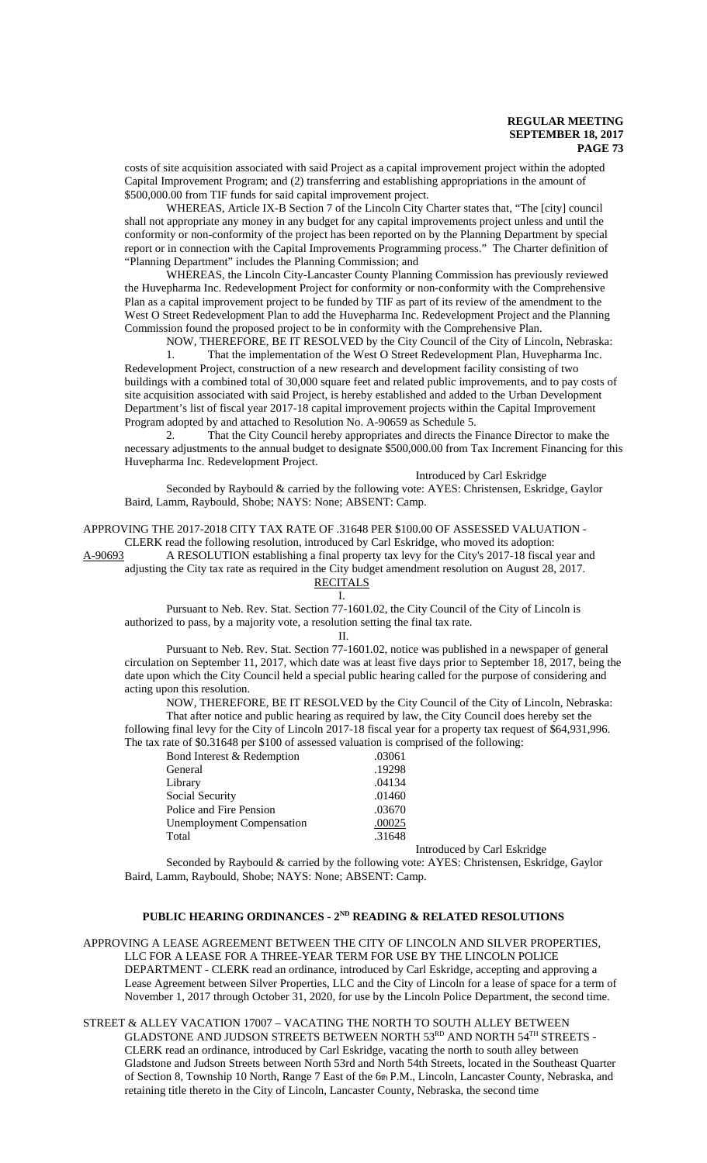costs of site acquisition associated with said Project as a capital improvement project within the adopted Capital Improvement Program; and (2) transferring and establishing appropriations in the amount of \$500,000.00 from TIF funds for said capital improvement project.

WHEREAS, Article IX-B Section 7 of the Lincoln City Charter states that, "The [city] council shall not appropriate any money in any budget for any capital improvements project unless and until the conformity or non-conformity of the project has been reported on by the Planning Department by special report or in connection with the Capital Improvements Programming process." The Charter definition of "Planning Department" includes the Planning Commission; and

WHEREAS, the Lincoln City-Lancaster County Planning Commission has previously reviewed the Huvepharma Inc. Redevelopment Project for conformity or non-conformity with the Comprehensive Plan as a capital improvement project to be funded by TIF as part of its review of the amendment to the West O Street Redevelopment Plan to add the Huvepharma Inc. Redevelopment Project and the Planning Commission found the proposed project to be in conformity with the Comprehensive Plan.

NOW, THEREFORE, BE IT RESOLVED by the City Council of the City of Lincoln, Nebraska:

1. That the implementation of the West O Street Redevelopment Plan, Huvepharma Inc. Redevelopment Project, construction of a new research and development facility consisting of two buildings with a combined total of 30,000 square feet and related public improvements, and to pay costs of site acquisition associated with said Project, is hereby established and added to the Urban Development Department's list of fiscal year 2017-18 capital improvement projects within the Capital Improvement Program adopted by and attached to Resolution No. A-90659 as Schedule 5.

2. That the City Council hereby appropriates and directs the Finance Director to make the necessary adjustments to the annual budget to designate \$500,000.00 from Tax Increment Financing for this Huvepharma Inc. Redevelopment Project.

Introduced by Carl Eskridge

Seconded by Raybould & carried by the following vote: AYES: Christensen, Eskridge, Gaylor Baird, Lamm, Raybould, Shobe; NAYS: None; ABSENT: Camp.

APPROVING THE 2017-2018 CITY TAX RATE OF .31648 PER \$100.00 OF ASSESSED VALUATION -

CLERK read the following resolution, introduced by Carl Eskridge, who moved its adoption:

A-90693 A RESOLUTION establishing a final property tax levy for the City's 2017-18 fiscal year and

adjusting the City tax rate as required in the City budget amendment resolution on August 28, 2017.

#### RECITALS I.

Pursuant to Neb. Rev. Stat. Section 77-1601.02, the City Council of the City of Lincoln is authorized to pass, by a majority vote, a resolution setting the final tax rate.

#### II.

Pursuant to Neb. Rev. Stat. Section 77-1601.02, notice was published in a newspaper of general circulation on September 11, 2017, which date was at least five days prior to September 18, 2017, being the date upon which the City Council held a special public hearing called for the purpose of considering and acting upon this resolution.

NOW, THEREFORE, BE IT RESOLVED by the City Council of the City of Lincoln, Nebraska: That after notice and public hearing as required by law, the City Council does hereby set the following final levy for the City of Lincoln 2017-18 fiscal year for a property tax request of \$64,931,996. The tax rate of \$0.31648 per \$100 of assessed valuation is comprised of the following:

| Bond Interest & Redemption       | .03061 |                             |
|----------------------------------|--------|-----------------------------|
| General                          | .19298 |                             |
| Library                          | .04134 |                             |
| Social Security                  | .01460 |                             |
| Police and Fire Pension          | .03670 |                             |
| <b>Unemployment Compensation</b> | .00025 |                             |
| Total                            | .31648 |                             |
|                                  |        | Introduced by Carl Eskridge |

Seconded by Raybould & carried by the following vote: AYES: Christensen, Eskridge, Gaylor Baird, Lamm, Raybould, Shobe; NAYS: None; ABSENT: Camp.

# PUBLIC HEARING ORDINANCES - 2<sup>ND</sup> READING & RELATED RESOLUTIONS

APPROVING A LEASE AGREEMENT BETWEEN THE CITY OF LINCOLN AND SILVER PROPERTIES, LLC FOR A LEASE FOR A THREE-YEAR TERM FOR USE BY THE LINCOLN POLICE DEPARTMENT - CLERK read an ordinance, introduced by Carl Eskridge, accepting and approving a Lease Agreement between Silver Properties, LLC and the City of Lincoln for a lease of space for a term of November 1, 2017 through October 31, 2020, for use by the Lincoln Police Department, the second time.

# STREET & ALLEY VACATION 17007 – VACATING THE NORTH TO SOUTH ALLEY BETWEEN

GLADSTONE AND JUDSON STREETS BETWEEN NORTH 53RD AND NORTH 54TH STREETS - CLERK read an ordinance, introduced by Carl Eskridge, vacating the north to south alley between Gladstone and Judson Streets between North 53rd and North 54th Streets, located in the Southeast Quarter of Section 8, Township 10 North, Range 7 East of the 6th P.M., Lincoln, Lancaster County, Nebraska, and retaining title thereto in the City of Lincoln, Lancaster County, Nebraska, the second time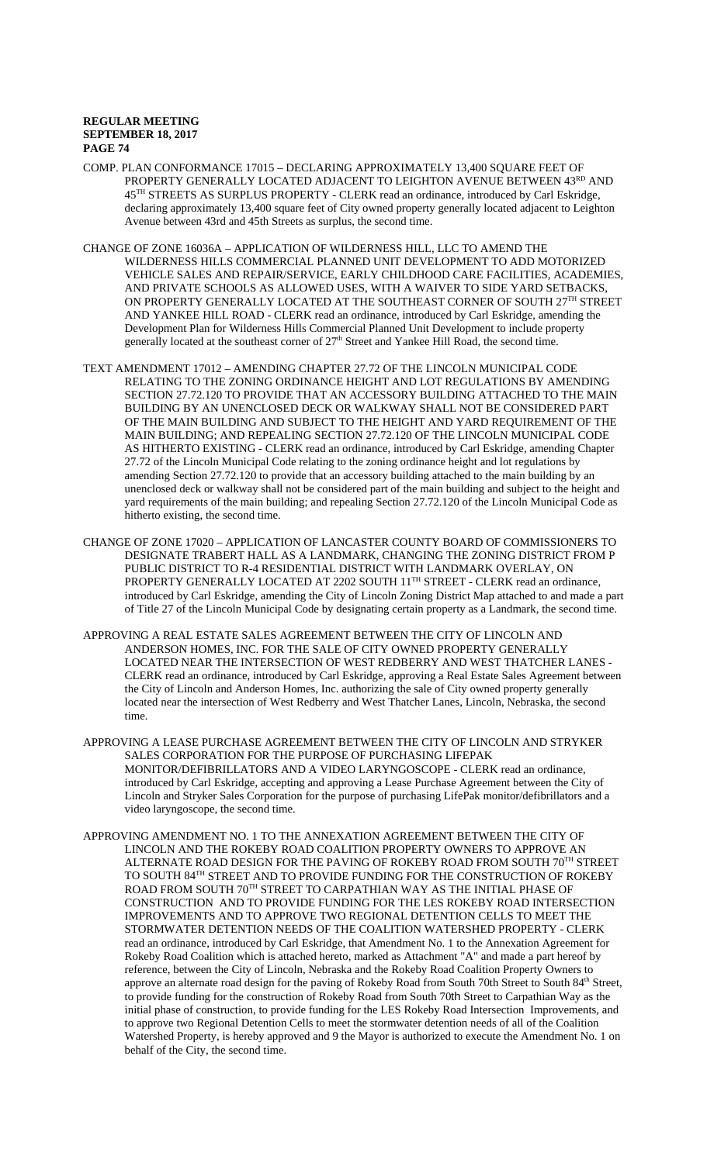- COMP. PLAN CONFORMANCE 17015 DECLARING APPROXIMATELY 13,400 SQUARE FEET OF PROPERTY GENERALLY LOCATED ADJACENT TO LEIGHTON AVENUE BETWEEN  $43^{\mathtt{RD}}$  AND 45TH STREETS AS SURPLUS PROPERTY - CLERK read an ordinance, introduced by Carl Eskridge, declaring approximately 13,400 square feet of City owned property generally located adjacent to Leighton Avenue between 43rd and 45th Streets as surplus, the second time.
- CHANGE OF ZONE 16036A APPLICATION OF WILDERNESS HILL, LLC TO AMEND THE WILDERNESS HILLS COMMERCIAL PLANNED UNIT DEVELOPMENT TO ADD MOTORIZED VEHICLE SALES AND REPAIR/SERVICE, EARLY CHILDHOOD CARE FACILITIES, ACADEMIES, AND PRIVATE SCHOOLS AS ALLOWED USES, WITH A WAIVER TO SIDE YARD SETBACKS, ON PROPERTY GENERALLY LOCATED AT THE SOUTHEAST CORNER OF SOUTH  $27^{\rm TH}$  STREET AND YANKEE HILL ROAD - CLERK read an ordinance, introduced by Carl Eskridge, amending the Development Plan for Wilderness Hills Commercial Planned Unit Development to include property generally located at the southeast corner of  $27<sup>th</sup>$  Street and Yankee Hill Road, the second time.
- TEXT AMENDMENT 17012 AMENDING CHAPTER 27.72 OF THE LINCOLN MUNICIPAL CODE RELATING TO THE ZONING ORDINANCE HEIGHT AND LOT REGULATIONS BY AMENDING SECTION 27.72.120 TO PROVIDE THAT AN ACCESSORY BUILDING ATTACHED TO THE MAIN BUILDING BY AN UNENCLOSED DECK OR WALKWAY SHALL NOT BE CONSIDERED PART OF THE MAIN BUILDING AND SUBJECT TO THE HEIGHT AND YARD REQUIREMENT OF THE MAIN BUILDING; AND REPEALING SECTION 27.72.120 OF THE LINCOLN MUNICIPAL CODE AS HITHERTO EXISTING - CLERK read an ordinance, introduced by Carl Eskridge, amending Chapter 27.72 of the Lincoln Municipal Code relating to the zoning ordinance height and lot regulations by amending Section 27.72.120 to provide that an accessory building attached to the main building by an unenclosed deck or walkway shall not be considered part of the main building and subject to the height and yard requirements of the main building; and repealing Section 27.72.120 of the Lincoln Municipal Code as hitherto existing, the second time.
- CHANGE OF ZONE 17020 APPLICATION OF LANCASTER COUNTY BOARD OF COMMISSIONERS TO DESIGNATE TRABERT HALL AS A LANDMARK, CHANGING THE ZONING DISTRICT FROM P PUBLIC DISTRICT TO R-4 RESIDENTIAL DISTRICT WITH LANDMARK OVERLAY, ON PROPERTY GENERALLY LOCATED AT 2202 SOUTH 11<sup>TH</sup> STREET - CLERK read an ordinance, introduced by Carl Eskridge, amending the City of Lincoln Zoning District Map attached to and made a part of Title 27 of the Lincoln Municipal Code by designating certain property as a Landmark, the second time.
- APPROVING A REAL ESTATE SALES AGREEMENT BETWEEN THE CITY OF LINCOLN AND ANDERSON HOMES, INC. FOR THE SALE OF CITY OWNED PROPERTY GENERALLY LOCATED NEAR THE INTERSECTION OF WEST REDBERRY AND WEST THATCHER LANES - CLERK read an ordinance, introduced by Carl Eskridge, approving a Real Estate Sales Agreement between the City of Lincoln and Anderson Homes, Inc. authorizing the sale of City owned property generally located near the intersection of West Redberry and West Thatcher Lanes, Lincoln, Nebraska, the second time.
- APPROVING A LEASE PURCHASE AGREEMENT BETWEEN THE CITY OF LINCOLN AND STRYKER SALES CORPORATION FOR THE PURPOSE OF PURCHASING LIFEPAK MONITOR/DEFIBRILLATORS AND A VIDEO LARYNGOSCOPE - CLERK read an ordinance, introduced by Carl Eskridge, accepting and approving a Lease Purchase Agreement between the City of Lincoln and Stryker Sales Corporation for the purpose of purchasing LifePak monitor/defibrillators and a video laryngoscope, the second time.
- APPROVING AMENDMENT NO. 1 TO THE ANNEXATION AGREEMENT BETWEEN THE CITY OF LINCOLN AND THE ROKEBY ROAD COALITION PROPERTY OWNERS TO APPROVE AN ALTERNATE ROAD DESIGN FOR THE PAVING OF ROKEBY ROAD FROM SOUTH  $70^{\mathrm{TH}}$  STREET TO SOUTH 84<sup>TH</sup> STREET AND TO PROVIDE FUNDING FOR THE CONSTRUCTION OF ROKEBY ROAD FROM SOUTH 70TH STREET TO CARPATHIAN WAY AS THE INITIAL PHASE OF CONSTRUCTION AND TO PROVIDE FUNDING FOR THE LES ROKEBY ROAD INTERSECTION IMPROVEMENTS AND TO APPROVE TWO REGIONAL DETENTION CELLS TO MEET THE STORMWATER DETENTION NEEDS OF THE COALITION WATERSHED PROPERTY - CLERK read an ordinance, introduced by Carl Eskridge, that Amendment No. 1 to the Annexation Agreement for Rokeby Road Coalition which is attached hereto, marked as Attachment "A" and made a part hereof by reference, between the City of Lincoln, Nebraska and the Rokeby Road Coalition Property Owners to approve an alternate road design for the paving of Rokeby Road from South 70th Street to South 84<sup>th</sup> Street, to provide funding for the construction of Rokeby Road from South 70th Street to Carpathian Way as the initial phase of construction, to provide funding for the LES Rokeby Road Intersection Improvements, and to approve two Regional Detention Cells to meet the stormwater detention needs of all of the Coalition Watershed Property, is hereby approved and 9 the Mayor is authorized to execute the Amendment No. 1 on behalf of the City, the second time.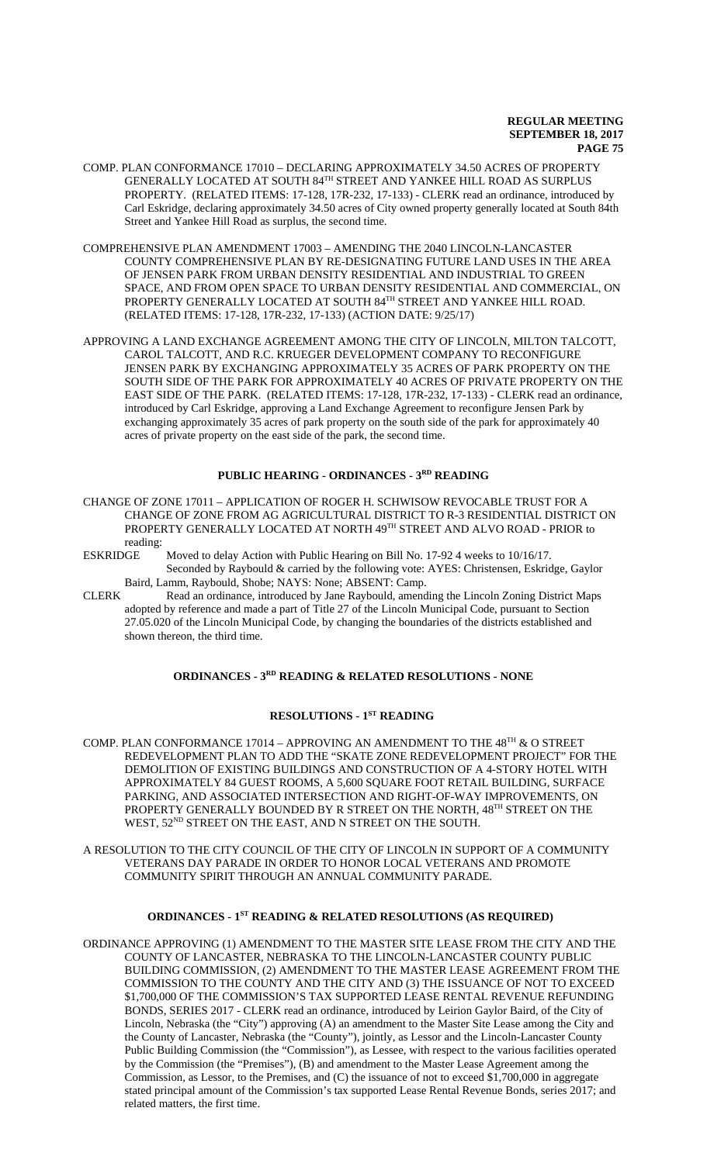- COMP. PLAN CONFORMANCE 17010 DECLARING APPROXIMATELY 34.50 ACRES OF PROPERTY GENERALLY LOCATED AT SOUTH 84TH STREET AND YANKEE HILL ROAD AS SURPLUS PROPERTY. (RELATED ITEMS: 17-128, 17R-232, 17-133) - CLERK read an ordinance, introduced by Carl Eskridge, declaring approximately 34.50 acres of City owned property generally located at South 84th Street and Yankee Hill Road as surplus, the second time.
- COMPREHENSIVE PLAN AMENDMENT 17003 AMENDING THE 2040 LINCOLN-LANCASTER COUNTY COMPREHENSIVE PLAN BY RE-DESIGNATING FUTURE LAND USES IN THE AREA OF JENSEN PARK FROM URBAN DENSITY RESIDENTIAL AND INDUSTRIAL TO GREEN SPACE, AND FROM OPEN SPACE TO URBAN DENSITY RESIDENTIAL AND COMMERCIAL, ON PROPERTY GENERALLY LOCATED AT SOUTH 84TH STREET AND YANKEE HILL ROAD. (RELATED ITEMS: 17-128, 17R-232, 17-133) (ACTION DATE: 9/25/17)
- APPROVING A LAND EXCHANGE AGREEMENT AMONG THE CITY OF LINCOLN, MILTON TALCOTT, CAROL TALCOTT, AND R.C. KRUEGER DEVELOPMENT COMPANY TO RECONFIGURE JENSEN PARK BY EXCHANGING APPROXIMATELY 35 ACRES OF PARK PROPERTY ON THE SOUTH SIDE OF THE PARK FOR APPROXIMATELY 40 ACRES OF PRIVATE PROPERTY ON THE EAST SIDE OF THE PARK. (RELATED ITEMS: 17-128, 17R-232, 17-133) - CLERK read an ordinance, introduced by Carl Eskridge, approving a Land Exchange Agreement to reconfigure Jensen Park by exchanging approximately 35 acres of park property on the south side of the park for approximately 40 acres of private property on the east side of the park, the second time.

# **PUBLIC HEARING - ORDINANCES - 3RD READING**

- CHANGE OF ZONE 17011 APPLICATION OF ROGER H. SCHWISOW REVOCABLE TRUST FOR A CHANGE OF ZONE FROM AG AGRICULTURAL DISTRICT TO R-3 RESIDENTIAL DISTRICT ON PROPERTY GENERALLY LOCATED AT NORTH 49TH STREET AND ALVO ROAD - PRIOR to reading:
- ESKRIDGE Moved to delay Action with Public Hearing on Bill No. 17-92 4 weeks to 10/16/17. Seconded by Raybould & carried by the following vote: AYES: Christensen, Eskridge, Gaylor Baird, Lamm, Raybould, Shobe; NAYS: None; ABSENT: Camp.
- CLERK Read an ordinance, introduced by Jane Raybould, amending the Lincoln Zoning District Maps adopted by reference and made a part of Title 27 of the Lincoln Municipal Code, pursuant to Section 27.05.020 of the Lincoln Municipal Code, by changing the boundaries of the districts established and shown thereon, the third time.

# **ORDINANCES - 3RD READING & RELATED RESOLUTIONS - NONE**

# **RESOLUTIONS - 1ST READING**

COMP. PLAN CONFORMANCE 17014 – APPROVING AN AMENDMENT TO THE 48<sup>TH</sup>  $\&$  O STREET REDEVELOPMENT PLAN TO ADD THE "SKATE ZONE REDEVELOPMENT PROJECT" FOR THE DEMOLITION OF EXISTING BUILDINGS AND CONSTRUCTION OF A 4-STORY HOTEL WITH APPROXIMATELY 84 GUEST ROOMS, A 5,600 SQUARE FOOT RETAIL BUILDING, SURFACE PARKING, AND ASSOCIATED INTERSECTION AND RIGHT-OF-WAY IMPROVEMENTS, ON PROPERTY GENERALLY BOUNDED BY R STREET ON THE NORTH, 48<sup>TH</sup> STREET ON THE WEST, 52<sup>ND</sup> STREET ON THE EAST, AND N STREET ON THE SOUTH.

A RESOLUTION TO THE CITY COUNCIL OF THE CITY OF LINCOLN IN SUPPORT OF A COMMUNITY VETERANS DAY PARADE IN ORDER TO HONOR LOCAL VETERANS AND PROMOTE COMMUNITY SPIRIT THROUGH AN ANNUAL COMMUNITY PARADE.

# **ORDINANCES - 1ST READING & RELATED RESOLUTIONS (AS REQUIRED)**

ORDINANCE APPROVING (1) AMENDMENT TO THE MASTER SITE LEASE FROM THE CITY AND THE COUNTY OF LANCASTER, NEBRASKA TO THE LINCOLN-LANCASTER COUNTY PUBLIC BUILDING COMMISSION, (2) AMENDMENT TO THE MASTER LEASE AGREEMENT FROM THE COMMISSION TO THE COUNTY AND THE CITY AND (3) THE ISSUANCE OF NOT TO EXCEED \$1,700,000 OF THE COMMISSION'S TAX SUPPORTED LEASE RENTAL REVENUE REFUNDING BONDS, SERIES 2017 - CLERK read an ordinance, introduced by Leirion Gaylor Baird, of the City of Lincoln, Nebraska (the "City") approving (A) an amendment to the Master Site Lease among the City and the County of Lancaster, Nebraska (the "County"), jointly, as Lessor and the Lincoln-Lancaster County Public Building Commission (the "Commission"), as Lessee, with respect to the various facilities operated by the Commission (the "Premises"), (B) and amendment to the Master Lease Agreement among the Commission, as Lessor, to the Premises, and (C) the issuance of not to exceed \$1,700,000 in aggregate stated principal amount of the Commission's tax supported Lease Rental Revenue Bonds, series 2017; and related matters, the first time.